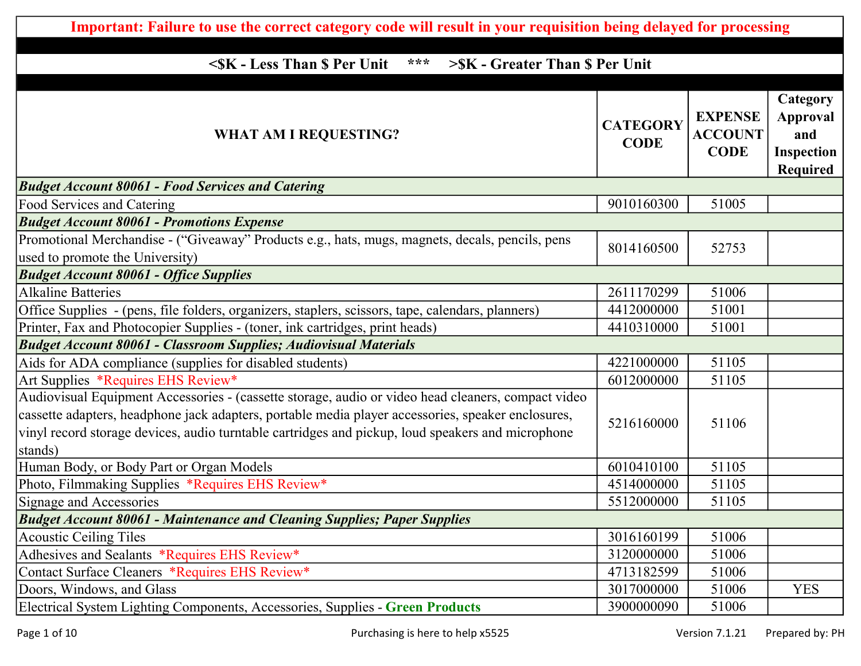| Important: Failure to use the correct category code will result in your requisition being delayed for processing                                                                                                                                                                                                         |                                |                                                 |                                                              |
|--------------------------------------------------------------------------------------------------------------------------------------------------------------------------------------------------------------------------------------------------------------------------------------------------------------------------|--------------------------------|-------------------------------------------------|--------------------------------------------------------------|
|                                                                                                                                                                                                                                                                                                                          |                                |                                                 |                                                              |
| <sk \$="" -="" less="" per="" than="" unit<br="">***<br/>&gt;SK - Greater Than \$ Per Unit</sk>                                                                                                                                                                                                                          |                                |                                                 |                                                              |
| <b>WHAT AM I REQUESTING?</b>                                                                                                                                                                                                                                                                                             | <b>CATEGORY</b><br><b>CODE</b> | <b>EXPENSE</b><br><b>ACCOUNT</b><br><b>CODE</b> | Category<br>Approval<br>and<br>Inspection<br><b>Required</b> |
| <b>Budget Account 80061 - Food Services and Catering</b>                                                                                                                                                                                                                                                                 |                                |                                                 |                                                              |
| Food Services and Catering                                                                                                                                                                                                                                                                                               | 9010160300                     | 51005                                           |                                                              |
| <b>Budget Account 80061 - Promotions Expense</b>                                                                                                                                                                                                                                                                         |                                |                                                 |                                                              |
| Promotional Merchandise - ("Giveaway" Products e.g., hats, mugs, magnets, decals, pencils, pens<br>used to promote the University)                                                                                                                                                                                       | 8014160500                     | 52753                                           |                                                              |
| <b>Budget Account 80061 - Office Supplies</b>                                                                                                                                                                                                                                                                            |                                |                                                 |                                                              |
| <b>Alkaline Batteries</b>                                                                                                                                                                                                                                                                                                | 2611170299                     | 51006                                           |                                                              |
| Office Supplies - (pens, file folders, organizers, staplers, scissors, tape, calendars, planners)                                                                                                                                                                                                                        | 4412000000                     | 51001                                           |                                                              |
| Printer, Fax and Photocopier Supplies - (toner, ink cartridges, print heads)                                                                                                                                                                                                                                             | 4410310000                     | 51001                                           |                                                              |
| <b>Budget Account 80061 - Classroom Supplies; Audiovisual Materials</b>                                                                                                                                                                                                                                                  |                                |                                                 |                                                              |
| Aids for ADA compliance (supplies for disabled students)                                                                                                                                                                                                                                                                 | 4221000000                     | 51105                                           |                                                              |
| Art Supplies *Requires EHS Review*                                                                                                                                                                                                                                                                                       | 6012000000                     | 51105                                           |                                                              |
| Audiovisual Equipment Accessories - (cassette storage, audio or video head cleaners, compact video<br>cassette adapters, headphone jack adapters, portable media player accessories, speaker enclosures,<br>vinyl record storage devices, audio turntable cartridges and pickup, loud speakers and microphone<br>stands) | 5216160000                     | 51106                                           |                                                              |
| Human Body, or Body Part or Organ Models                                                                                                                                                                                                                                                                                 | 6010410100                     | 51105                                           |                                                              |
| Photo, Filmmaking Supplies *Requires EHS Review*                                                                                                                                                                                                                                                                         | 4514000000                     | 51105                                           |                                                              |
| Signage and Accessories                                                                                                                                                                                                                                                                                                  | 5512000000                     | 51105                                           |                                                              |
| <b>Budget Account 80061 - Maintenance and Cleaning Supplies; Paper Supplies</b>                                                                                                                                                                                                                                          |                                |                                                 |                                                              |
| Acoustic Ceiling Tiles                                                                                                                                                                                                                                                                                                   | 3016160199                     | 51006                                           |                                                              |
| Adhesives and Sealants *Requires EHS Review*                                                                                                                                                                                                                                                                             | 3120000000                     | 51006                                           |                                                              |
| Contact Surface Cleaners *Requires EHS Review*                                                                                                                                                                                                                                                                           | 4713182599                     | 51006                                           |                                                              |
| Doors, Windows, and Glass                                                                                                                                                                                                                                                                                                | 3017000000                     | 51006                                           | <b>YES</b>                                                   |
| Electrical System Lighting Components, Accessories, Supplies - Green Products                                                                                                                                                                                                                                            | 3900000090                     | 51006                                           |                                                              |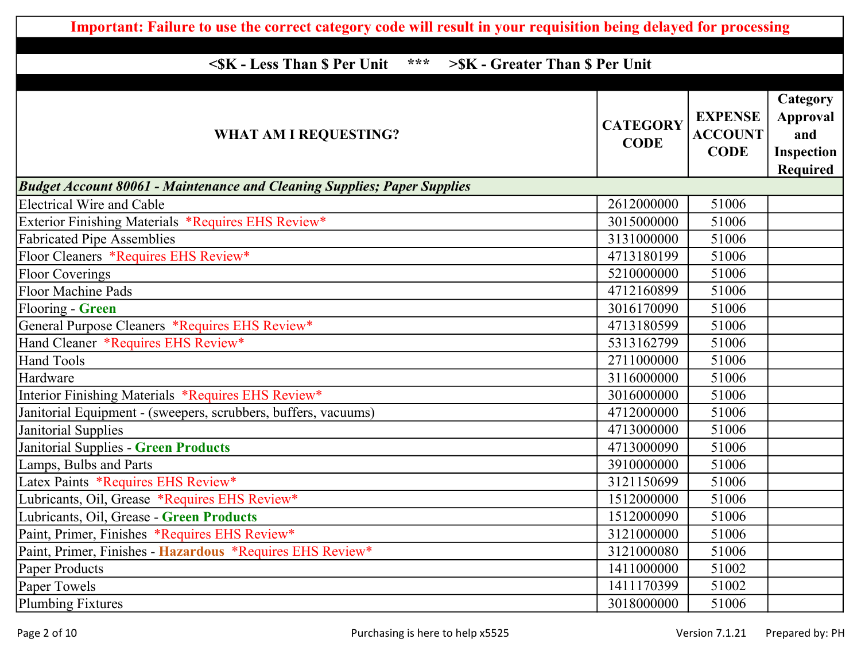| Important: Failure to use the correct category code will result in your requisition being delayed for processing |                                |                                                 |                                                                     |
|------------------------------------------------------------------------------------------------------------------|--------------------------------|-------------------------------------------------|---------------------------------------------------------------------|
|                                                                                                                  |                                |                                                 |                                                                     |
| <sk \$="" -="" less="" per="" than="" unit<br="">***<br/>&gt;\$K - Greater Than \$ Per Unit</sk>                 |                                |                                                 |                                                                     |
| <b>WHAT AM I REQUESTING?</b>                                                                                     | <b>CATEGORY</b><br><b>CODE</b> | <b>EXPENSE</b><br><b>ACCOUNT</b><br><b>CODE</b> | Category<br><b>Approval</b><br>and<br><b>Inspection</b><br>Required |
| <b>Budget Account 80061 - Maintenance and Cleaning Supplies; Paper Supplies</b>                                  |                                |                                                 |                                                                     |
| <b>Electrical Wire and Cable</b>                                                                                 | 2612000000                     | 51006                                           |                                                                     |
| Exterior Finishing Materials *Requires EHS Review*                                                               | 3015000000                     | 51006                                           |                                                                     |
| <b>Fabricated Pipe Assemblies</b>                                                                                | 3131000000                     | 51006                                           |                                                                     |
| Floor Cleaners *Requires EHS Review*                                                                             | 4713180199                     | 51006                                           |                                                                     |
| <b>Floor Coverings</b>                                                                                           | 5210000000                     | 51006                                           |                                                                     |
| <b>Floor Machine Pads</b>                                                                                        | 4712160899                     | 51006                                           |                                                                     |
| Flooring - Green                                                                                                 | 3016170090                     | 51006                                           |                                                                     |
| General Purpose Cleaners *Requires EHS Review*                                                                   | 4713180599                     | 51006                                           |                                                                     |
| Hand Cleaner *Requires EHS Review*                                                                               | 5313162799                     | 51006                                           |                                                                     |
| <b>Hand Tools</b>                                                                                                | 2711000000                     | 51006                                           |                                                                     |
| Hardware                                                                                                         | 3116000000                     | 51006                                           |                                                                     |
| Interior Finishing Materials *Requires EHS Review*                                                               | 3016000000                     | 51006                                           |                                                                     |
| Janitorial Equipment - (sweepers, scrubbers, buffers, vacuums)                                                   | 4712000000                     | 51006                                           |                                                                     |
| Janitorial Supplies                                                                                              | 4713000000                     | 51006                                           |                                                                     |
| Janitorial Supplies - Green Products                                                                             | 4713000090                     | 51006                                           |                                                                     |
| Lamps, Bulbs and Parts                                                                                           | 3910000000                     | 51006                                           |                                                                     |
| Latex Paints *Requires EHS Review*                                                                               | 3121150699                     | 51006                                           |                                                                     |
| Lubricants, Oil, Grease *Requires EHS Review*                                                                    | 1512000000                     | 51006                                           |                                                                     |
| Lubricants, Oil, Grease - Green Products                                                                         | 1512000090                     | 51006                                           |                                                                     |
| Paint, Primer, Finishes *Requires EHS Review*                                                                    | 3121000000                     | 51006                                           |                                                                     |
| Paint, Primer, Finishes - Hazardous *Requires EHS Review*                                                        | 3121000080                     | 51006                                           |                                                                     |
| Paper Products                                                                                                   | 1411000000                     | 51002                                           |                                                                     |
| Paper Towels                                                                                                     | 1411170399                     | 51002                                           |                                                                     |
| <b>Plumbing Fixtures</b>                                                                                         | 3018000000                     | 51006                                           |                                                                     |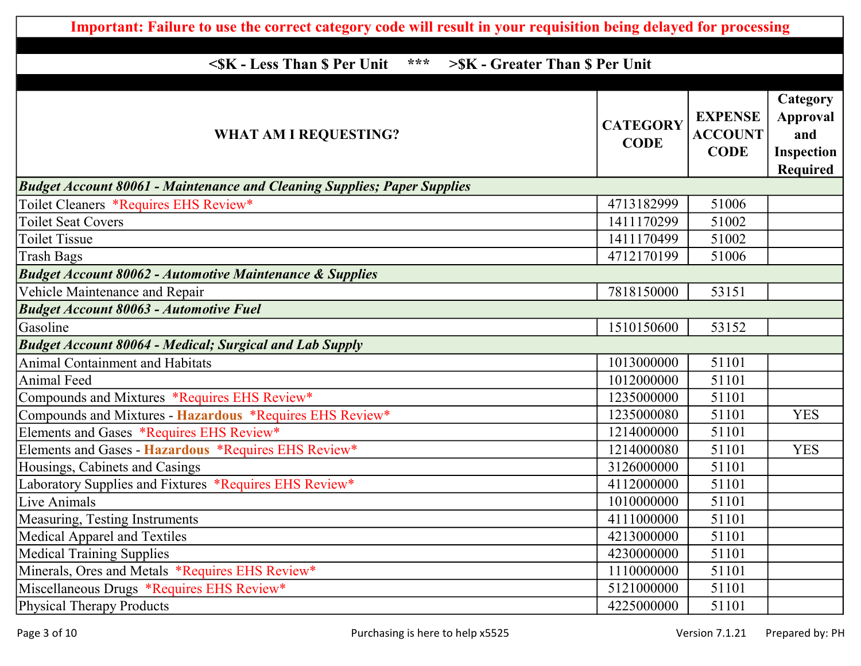| Important: Failure to use the correct category code will result in your requisition being delayed for processing |                                |                                                 |                                                                     |
|------------------------------------------------------------------------------------------------------------------|--------------------------------|-------------------------------------------------|---------------------------------------------------------------------|
|                                                                                                                  |                                |                                                 |                                                                     |
| <sk \$="" -="" less="" per="" than="" unit<br="">***<br/>&gt;\$K - Greater Than \$ Per Unit</sk>                 |                                |                                                 |                                                                     |
| <b>WHAT AM I REQUESTING?</b>                                                                                     | <b>CATEGORY</b><br><b>CODE</b> | <b>EXPENSE</b><br><b>ACCOUNT</b><br><b>CODE</b> | Category<br><b>Approval</b><br>and<br><b>Inspection</b><br>Required |
| <b>Budget Account 80061 - Maintenance and Cleaning Supplies; Paper Supplies</b>                                  |                                |                                                 |                                                                     |
| Toilet Cleaners *Requires EHS Review*                                                                            | 4713182999                     | 51006                                           |                                                                     |
| <b>Toilet Seat Covers</b>                                                                                        | 1411170299                     | 51002                                           |                                                                     |
| <b>Toilet Tissue</b>                                                                                             | 1411170499                     | 51002                                           |                                                                     |
| <b>Trash Bags</b>                                                                                                | 4712170199                     | 51006                                           |                                                                     |
| <b>Budget Account 80062 - Automotive Maintenance &amp; Supplies</b>                                              |                                |                                                 |                                                                     |
| Vehicle Maintenance and Repair                                                                                   | 7818150000                     | 53151                                           |                                                                     |
| <b>Budget Account 80063 - Automotive Fuel</b>                                                                    |                                |                                                 |                                                                     |
| Gasoline                                                                                                         | 1510150600                     | 53152                                           |                                                                     |
| <b>Budget Account 80064 - Medical; Surgical and Lab Supply</b>                                                   |                                |                                                 |                                                                     |
| <b>Animal Containment and Habitats</b>                                                                           | 1013000000                     | 51101                                           |                                                                     |
| <b>Animal Feed</b>                                                                                               | 1012000000                     | 51101                                           |                                                                     |
| Compounds and Mixtures *Requires EHS Review*                                                                     | 1235000000                     | 51101                                           |                                                                     |
| Compounds and Mixtures - Hazardous *Requires EHS Review*                                                         | 1235000080                     | 51101                                           | <b>YES</b>                                                          |
| Elements and Gases *Requires EHS Review*                                                                         | 1214000000                     | 51101                                           |                                                                     |
| Elements and Gases - Hazardous *Requires EHS Review*                                                             | 1214000080                     | 51101                                           | <b>YES</b>                                                          |
| Housings, Cabinets and Casings                                                                                   | 3126000000                     | 51101                                           |                                                                     |
| Laboratory Supplies and Fixtures *Requires EHS Review*                                                           | 4112000000                     | 51101                                           |                                                                     |
| Live Animals                                                                                                     | 1010000000                     | 51101                                           |                                                                     |
| Measuring, Testing Instruments                                                                                   | 4111000000                     | 51101                                           |                                                                     |
| Medical Apparel and Textiles                                                                                     | 4213000000                     | 51101                                           |                                                                     |
| <b>Medical Training Supplies</b>                                                                                 | 4230000000                     | 51101                                           |                                                                     |
| Minerals, Ores and Metals *Requires EHS Review*                                                                  | 1110000000                     | 51101                                           |                                                                     |
| Miscellaneous Drugs *Requires EHS Review*                                                                        | 5121000000                     | 51101                                           |                                                                     |
| <b>Physical Therapy Products</b>                                                                                 | 4225000000                     | 51101                                           |                                                                     |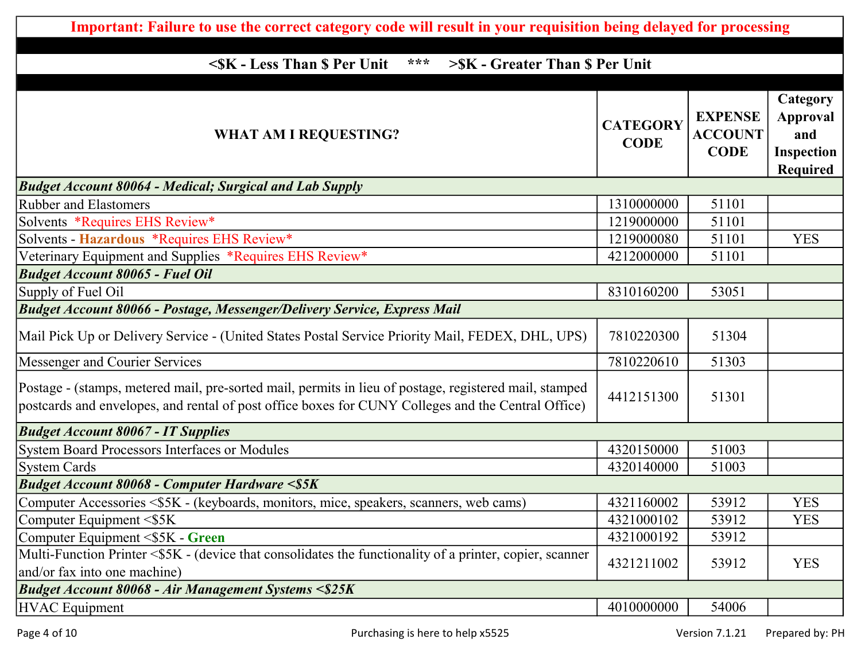| Important: Failure to use the correct category code will result in your requisition being delayed for processing                                                                                             |                                |                                                 |                                                                     |
|--------------------------------------------------------------------------------------------------------------------------------------------------------------------------------------------------------------|--------------------------------|-------------------------------------------------|---------------------------------------------------------------------|
|                                                                                                                                                                                                              |                                |                                                 |                                                                     |
| <sk \$="" -="" less="" per="" than="" unit<br="">***<br/>&gt;\$K - Greater Than \$ Per Unit</sk>                                                                                                             |                                |                                                 |                                                                     |
| <b>WHAT AM I REQUESTING?</b>                                                                                                                                                                                 | <b>CATEGORY</b><br><b>CODE</b> | <b>EXPENSE</b><br><b>ACCOUNT</b><br><b>CODE</b> | Category<br><b>Approval</b><br>and<br><b>Inspection</b><br>Required |
| <b>Budget Account 80064 - Medical; Surgical and Lab Supply</b>                                                                                                                                               |                                |                                                 |                                                                     |
| <b>Rubber and Elastomers</b>                                                                                                                                                                                 | 1310000000                     | 51101                                           |                                                                     |
| Solvents *Requires EHS Review*                                                                                                                                                                               | 1219000000                     | 51101                                           |                                                                     |
| Solvents - Hazardous *Requires EHS Review*                                                                                                                                                                   | 1219000080                     | 51101                                           | <b>YES</b>                                                          |
| Veterinary Equipment and Supplies *Requires EHS Review*                                                                                                                                                      | 4212000000                     | 51101                                           |                                                                     |
| <b>Budget Account 80065 - Fuel Oil</b>                                                                                                                                                                       |                                |                                                 |                                                                     |
| Supply of Fuel Oil                                                                                                                                                                                           | 8310160200                     | 53051                                           |                                                                     |
| <b>Budget Account 80066 - Postage, Messenger/Delivery Service, Express Mail</b>                                                                                                                              |                                |                                                 |                                                                     |
| Mail Pick Up or Delivery Service - (United States Postal Service Priority Mail, FEDEX, DHL, UPS)                                                                                                             | 7810220300                     | 51304                                           |                                                                     |
| Messenger and Courier Services                                                                                                                                                                               | 7810220610                     | 51303                                           |                                                                     |
| Postage - (stamps, metered mail, pre-sorted mail, permits in lieu of postage, registered mail, stamped<br>postcards and envelopes, and rental of post office boxes for CUNY Colleges and the Central Office) | 4412151300                     | 51301                                           |                                                                     |
| <b>Budget Account 80067 - IT Supplies</b>                                                                                                                                                                    |                                |                                                 |                                                                     |
| System Board Processors Interfaces or Modules                                                                                                                                                                | 4320150000                     | 51003                                           |                                                                     |
| <b>System Cards</b>                                                                                                                                                                                          | 4320140000                     | 51003                                           |                                                                     |
| <b>Budget Account 80068 - Computer Hardware &lt;\$5K</b>                                                                                                                                                     |                                |                                                 |                                                                     |
| Computer Accessories <\$5K - (keyboards, monitors, mice, speakers, scanners, web cams)                                                                                                                       | 4321160002                     | 53912                                           | <b>YES</b>                                                          |
| Computer Equipment $\leq$ SK                                                                                                                                                                                 | 4321000102                     | 53912                                           | <b>YES</b>                                                          |
| Computer Equipment <\$5K - Green                                                                                                                                                                             | 4321000192                     | 53912                                           |                                                                     |
| Multi-Function Printer <\$5K - (device that consolidates the functionality of a printer, copier, scanner<br>and/or fax into one machine)                                                                     | 4321211002                     | 53912                                           | <b>YES</b>                                                          |
| <b>Budget Account 80068 - Air Management Systems &lt;\$25K</b>                                                                                                                                               |                                |                                                 |                                                                     |
| <b>HVAC</b> Equipment                                                                                                                                                                                        | 4010000000                     | 54006                                           |                                                                     |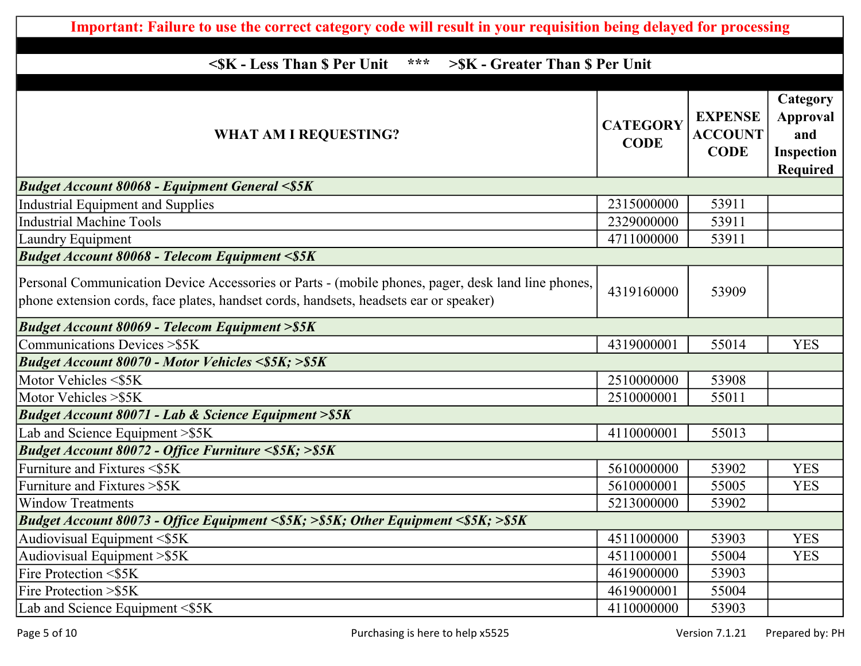| Important: Failure to use the correct category code will result in your requisition being delayed for processing                                                                            |                                |                                                 |                                                                     |
|---------------------------------------------------------------------------------------------------------------------------------------------------------------------------------------------|--------------------------------|-------------------------------------------------|---------------------------------------------------------------------|
|                                                                                                                                                                                             |                                |                                                 |                                                                     |
| <sk \$="" -="" less="" per="" than="" unit<br="">***<br/>&gt;\$K - Greater Than \$ Per Unit</sk>                                                                                            |                                |                                                 |                                                                     |
| <b>WHAT AM I REQUESTING?</b>                                                                                                                                                                | <b>CATEGORY</b><br><b>CODE</b> | <b>EXPENSE</b><br><b>ACCOUNT</b><br><b>CODE</b> | Category<br><b>Approval</b><br>and<br><b>Inspection</b><br>Required |
| <b>Budget Account 80068 - Equipment General &lt;\$5K</b>                                                                                                                                    |                                |                                                 |                                                                     |
| Industrial Equipment and Supplies                                                                                                                                                           | 2315000000                     | 53911                                           |                                                                     |
| <b>Industrial Machine Tools</b>                                                                                                                                                             | 2329000000                     | 53911                                           |                                                                     |
| Laundry Equipment                                                                                                                                                                           | 4711000000                     | 53911                                           |                                                                     |
| <b>Budget Account 80068 - Telecom Equipment &lt;\$5K</b>                                                                                                                                    |                                |                                                 |                                                                     |
| Personal Communication Device Accessories or Parts - (mobile phones, pager, desk land line phones,<br>phone extension cords, face plates, handset cords, handsets, headsets ear or speaker) | 4319160000                     | 53909                                           |                                                                     |
| <b>Budget Account 80069 - Telecom Equipment &gt; \$5K</b>                                                                                                                                   |                                |                                                 |                                                                     |
| Communications Devices > \$5K                                                                                                                                                               | 4319000001                     | 55014                                           | <b>YES</b>                                                          |
| Budget Account 80070 - Motor Vehicles <\$5K; >\$5K                                                                                                                                          |                                |                                                 |                                                                     |
| Motor Vehicles <\$5K                                                                                                                                                                        | 2510000000                     | 53908                                           |                                                                     |
| Motor Vehicles > \$5K                                                                                                                                                                       | 2510000001                     | 55011                                           |                                                                     |
| <b>Budget Account 80071 - Lab &amp; Science Equipment &gt; \$5K</b>                                                                                                                         |                                |                                                 |                                                                     |
| Lab and Science Equipment > \$5K                                                                                                                                                            | 4110000001                     | 55013                                           |                                                                     |
| Budget Account 80072 - Office Furniture <\$5K; >\$5K                                                                                                                                        |                                |                                                 |                                                                     |
| Furniture and Fixtures <\$5K                                                                                                                                                                | 5610000000                     | 53902                                           | <b>YES</b>                                                          |
| Furniture and Fixtures > \$5K                                                                                                                                                               | 5610000001                     | 55005                                           | <b>YES</b>                                                          |
| Window Treatments                                                                                                                                                                           | 5213000000                     | 53902                                           |                                                                     |
| Budget Account 80073 - Office Equipment <\$5K; >\$5K; Other Equipment <\$5K; >\$5K                                                                                                          |                                |                                                 |                                                                     |
| Audiovisual Equipment $\leq$ \$5K                                                                                                                                                           | 4511000000                     | 53903                                           | <b>YES</b>                                                          |
| Audiovisual Equipment > \$5K                                                                                                                                                                | 4511000001                     | 55004                                           | <b>YES</b>                                                          |
| <b>Fire Protection &lt;\$5K</b>                                                                                                                                                             | 4619000000                     | 53903                                           |                                                                     |
| <b>Fire Protection &gt; \$5K</b>                                                                                                                                                            | 4619000001                     | 55004                                           |                                                                     |
| Lab and Science Equipment <\$5K                                                                                                                                                             | 4110000000                     | 53903                                           |                                                                     |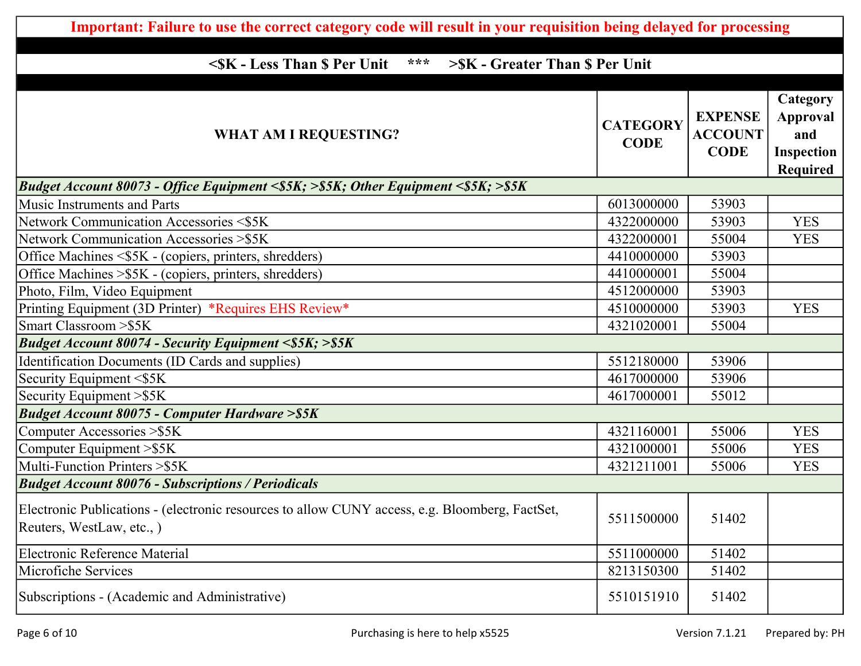| Important: Failure to use the correct category code will result in your requisition being delayed for processing            |                                |                                                 |                                                                            |
|-----------------------------------------------------------------------------------------------------------------------------|--------------------------------|-------------------------------------------------|----------------------------------------------------------------------------|
|                                                                                                                             |                                |                                                 |                                                                            |
| ***<br><sk \$="" -="" less="" per="" than="" unit<br="">&gt;SK - Greater Than \$ Per Unit</sk>                              |                                |                                                 |                                                                            |
| <b>WHAT AM I REQUESTING?</b>                                                                                                | <b>CATEGORY</b><br><b>CODE</b> | <b>EXPENSE</b><br><b>ACCOUNT</b><br><b>CODE</b> | Category<br><b>Approval</b><br>and<br><b>Inspection</b><br><b>Required</b> |
| Budget Account 80073 - Office Equipment <\$5K; >\$5K; Other Equipment <\$5K; >\$5K                                          |                                |                                                 |                                                                            |
| <b>Music Instruments and Parts</b>                                                                                          | 6013000000                     | 53903                                           |                                                                            |
| Network Communication Accessories <\$5K                                                                                     | 4322000000                     | 53903                                           | <b>YES</b>                                                                 |
| Network Communication Accessories > \$5K                                                                                    | 4322000001                     | 55004                                           | <b>YES</b>                                                                 |
| Office Machines <\$5K - (copiers, printers, shredders)                                                                      | 4410000000                     | 53903                                           |                                                                            |
| Office Machines > \$5K - (copiers, printers, shredders)                                                                     | 4410000001                     | 55004                                           |                                                                            |
| Photo, Film, Video Equipment                                                                                                | 4512000000                     | 53903                                           |                                                                            |
| Printing Equipment (3D Printer) *Requires EHS Review*                                                                       | 4510000000                     | 53903                                           | <b>YES</b>                                                                 |
| Smart Classroom > \$5K                                                                                                      | 4321020001                     | 55004                                           |                                                                            |
| <b>Budget Account 80074 - Security Equipment &lt;\$5K; &gt;\$5K</b>                                                         |                                |                                                 |                                                                            |
| Identification Documents (ID Cards and supplies)                                                                            | 5512180000                     | 53906                                           |                                                                            |
| Security Equipment <\$5K                                                                                                    | 4617000000                     | 53906                                           |                                                                            |
| Security Equipment > \$5K                                                                                                   | 4617000001                     | 55012                                           |                                                                            |
| <b>Budget Account 80075 - Computer Hardware &gt; \$5K</b>                                                                   |                                |                                                 |                                                                            |
| Computer Accessories > \$5K                                                                                                 | 4321160001                     | 55006                                           | <b>YES</b>                                                                 |
| Computer Equipment > \$5K                                                                                                   | 4321000001                     | 55006                                           | <b>YES</b>                                                                 |
| Multi-Function Printers > \$5K                                                                                              | 4321211001                     | 55006                                           | <b>YES</b>                                                                 |
| <b>Budget Account 80076 - Subscriptions / Periodicals</b>                                                                   |                                |                                                 |                                                                            |
| Electronic Publications - (electronic resources to allow CUNY access, e.g. Bloomberg, FactSet,<br>Reuters, WestLaw, etc., ) | 5511500000                     | 51402                                           |                                                                            |
| <b>Electronic Reference Material</b>                                                                                        | 5511000000                     | 51402                                           |                                                                            |
| Microfiche Services                                                                                                         | 8213150300                     | 51402                                           |                                                                            |
| Subscriptions - (Academic and Administrative)                                                                               | 5510151910                     | 51402                                           |                                                                            |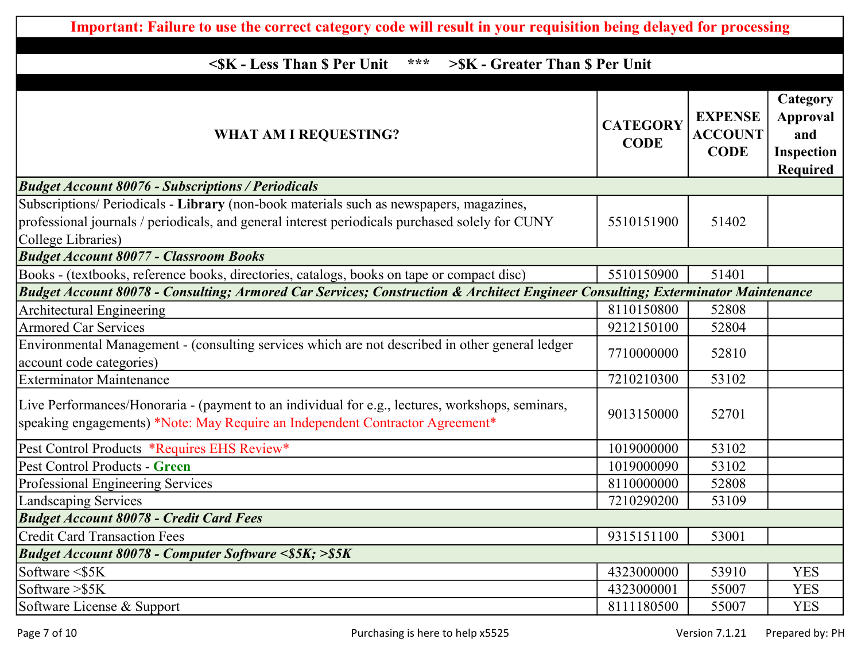| Important: Failure to use the correct category code will result in your requisition being delayed for processing                                                                                                 |                                |                                                 |                                                                            |
|------------------------------------------------------------------------------------------------------------------------------------------------------------------------------------------------------------------|--------------------------------|-------------------------------------------------|----------------------------------------------------------------------------|
|                                                                                                                                                                                                                  |                                |                                                 |                                                                            |
| <sk \$="" -="" less="" per="" than="" unit<br="">***<br/>&gt;\$K - Greater Than \$ Per Unit</sk>                                                                                                                 |                                |                                                 |                                                                            |
| <b>WHAT AM I REQUESTING?</b>                                                                                                                                                                                     | <b>CATEGORY</b><br><b>CODE</b> | <b>EXPENSE</b><br><b>ACCOUNT</b><br><b>CODE</b> | Category<br><b>Approval</b><br>and<br><b>Inspection</b><br><b>Required</b> |
| <b>Budget Account 80076 - Subscriptions / Periodicals</b>                                                                                                                                                        |                                |                                                 |                                                                            |
| Subscriptions/ Periodicals - Library (non-book materials such as newspapers, magazines,<br>professional journals / periodicals, and general interest periodicals purchased solely for CUNY<br>College Libraries) | 5510151900                     | 51402                                           |                                                                            |
| <b>Budget Account 80077 - Classroom Books</b>                                                                                                                                                                    |                                |                                                 |                                                                            |
| Books - (textbooks, reference books, directories, catalogs, books on tape or compact disc)                                                                                                                       | 5510150900                     | 51401                                           |                                                                            |
| Budget Account 80078 - Consulting; Armored Car Services; Construction & Architect Engineer Consulting; Exterminator Maintenance                                                                                  |                                |                                                 |                                                                            |
| <b>Architectural Engineering</b>                                                                                                                                                                                 | 8110150800                     | 52808                                           |                                                                            |
| <b>Armored Car Services</b>                                                                                                                                                                                      | 9212150100                     | 52804                                           |                                                                            |
| Environmental Management - (consulting services which are not described in other general ledger<br>account code categories)                                                                                      | 7710000000                     | 52810                                           |                                                                            |
| <b>Exterminator Maintenance</b>                                                                                                                                                                                  | 7210210300                     | 53102                                           |                                                                            |
| Live Performances/Honoraria - (payment to an individual for e.g., lectures, workshops, seminars,<br>speaking engagements) *Note: May Require an Independent Contractor Agreement*                                | 9013150000                     | 52701                                           |                                                                            |
| Pest Control Products *Requires EHS Review*                                                                                                                                                                      | 1019000000                     | 53102                                           |                                                                            |
| Pest Control Products - Green                                                                                                                                                                                    | 1019000090                     | 53102                                           |                                                                            |
| Professional Engineering Services                                                                                                                                                                                | 8110000000                     | 52808                                           |                                                                            |
| Landscaping Services                                                                                                                                                                                             | 7210290200                     | 53109                                           |                                                                            |
| <b>Budget Account 80078 - Credit Card Fees</b>                                                                                                                                                                   |                                |                                                 |                                                                            |
| <b>Credit Card Transaction Fees</b>                                                                                                                                                                              | 9315151100                     | 53001                                           |                                                                            |
| <b>Budget Account 80078 - Computer Software &lt;\$5K; &gt;\$5K</b>                                                                                                                                               |                                |                                                 |                                                                            |
| Software $<$ \$5 $K$                                                                                                                                                                                             | 4323000000                     | 53910                                           | <b>YES</b>                                                                 |
| Software $> $5K$                                                                                                                                                                                                 | 4323000001                     | 55007                                           | <b>YES</b>                                                                 |
| Software License & Support                                                                                                                                                                                       | 8111180500                     | 55007                                           | <b>YES</b>                                                                 |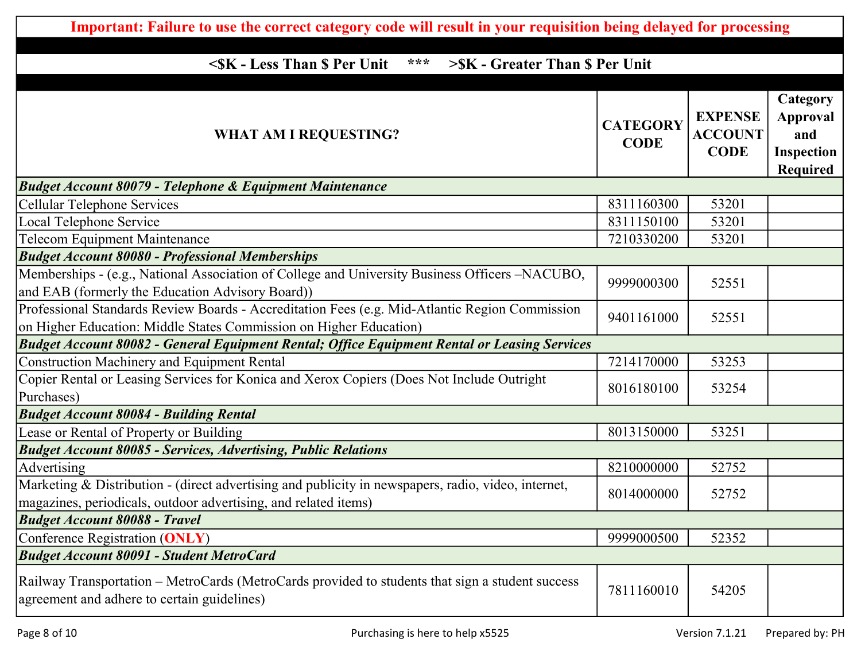| Important: Failure to use the correct category code will result in your requisition being delayed for processing                                                       |                                |                                                 |                                                                     |  |
|------------------------------------------------------------------------------------------------------------------------------------------------------------------------|--------------------------------|-------------------------------------------------|---------------------------------------------------------------------|--|
| ***<br><sk \$="" -="" less="" per="" than="" unit<br="">&gt;\$K - Greater Than \$ Per Unit</sk>                                                                        |                                |                                                 |                                                                     |  |
| <b>WHAT AM I REQUESTING?</b>                                                                                                                                           | <b>CATEGORY</b><br><b>CODE</b> | <b>EXPENSE</b><br><b>ACCOUNT</b><br><b>CODE</b> | Category<br><b>Approval</b><br>and<br><b>Inspection</b><br>Required |  |
| <b>Budget Account 80079 - Telephone &amp; Equipment Maintenance</b>                                                                                                    |                                |                                                 |                                                                     |  |
| Cellular Telephone Services                                                                                                                                            | 8311160300                     | 53201                                           |                                                                     |  |
| Local Telephone Service                                                                                                                                                | 8311150100                     | 53201                                           |                                                                     |  |
| <b>Telecom Equipment Maintenance</b>                                                                                                                                   | 7210330200                     | 53201                                           |                                                                     |  |
| <b>Budget Account 80080 - Professional Memberships</b>                                                                                                                 |                                |                                                 |                                                                     |  |
| Memberships - (e.g., National Association of College and University Business Officers -NACUBO,<br>and EAB (formerly the Education Advisory Board))                     | 9999000300                     | 52551                                           |                                                                     |  |
| Professional Standards Review Boards - Accreditation Fees (e.g. Mid-Atlantic Region Commission<br>on Higher Education: Middle States Commission on Higher Education)   | 9401161000                     | 52551                                           |                                                                     |  |
| <b>Budget Account 80082 - General Equipment Rental; Office Equipment Rental or Leasing Services</b>                                                                    |                                |                                                 |                                                                     |  |
| <b>Construction Machinery and Equipment Rental</b>                                                                                                                     | 7214170000                     | 53253                                           |                                                                     |  |
| Copier Rental or Leasing Services for Konica and Xerox Copiers (Does Not Include Outright<br>Purchases)                                                                | 8016180100                     | 53254                                           |                                                                     |  |
| <b>Budget Account 80084 - Building Rental</b>                                                                                                                          |                                |                                                 |                                                                     |  |
| Lease or Rental of Property or Building                                                                                                                                | 8013150000                     | 53251                                           |                                                                     |  |
| <b>Budget Account 80085 - Services, Advertising, Public Relations</b>                                                                                                  |                                |                                                 |                                                                     |  |
| Advertising                                                                                                                                                            | 8210000000                     | 52752                                           |                                                                     |  |
| Marketing & Distribution - (direct advertising and publicity in newspapers, radio, video, internet,<br>magazines, periodicals, outdoor advertising, and related items) | 8014000000                     | 52752                                           |                                                                     |  |
| <b>Budget Account 80088 - Travel</b>                                                                                                                                   |                                |                                                 |                                                                     |  |
| Conference Registration (ONLY)                                                                                                                                         | 9999000500                     | 52352                                           |                                                                     |  |
| <b>Budget Account 80091 - Student MetroCard</b>                                                                                                                        |                                |                                                 |                                                                     |  |
| Railway Transportation - MetroCards (MetroCards provided to students that sign a student success<br>agreement and adhere to certain guidelines)                        | 7811160010                     | 54205                                           |                                                                     |  |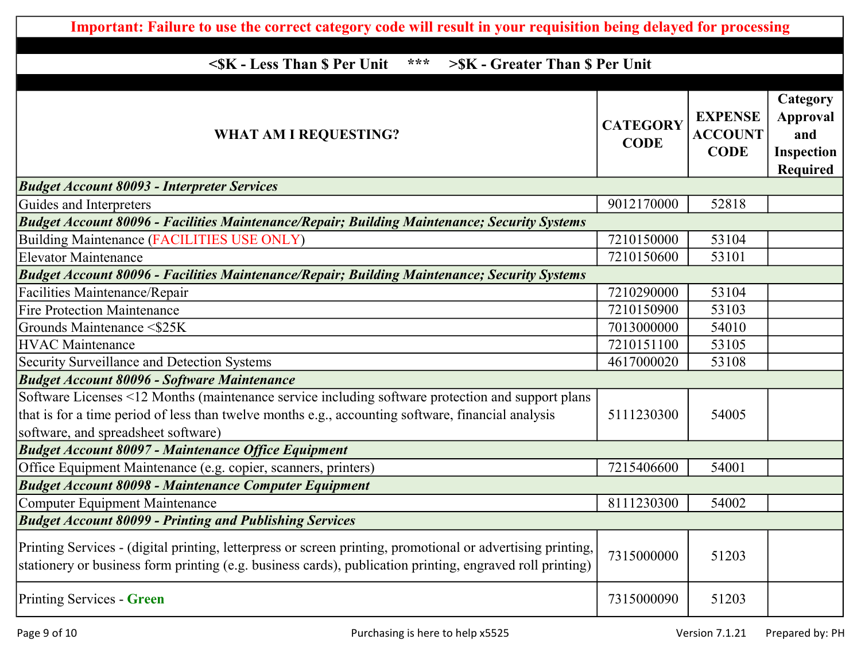| Important: Failure to use the correct category code will result in your requisition being delayed for processing                                                                                                                               |                                |                                                 |                                                              |
|------------------------------------------------------------------------------------------------------------------------------------------------------------------------------------------------------------------------------------------------|--------------------------------|-------------------------------------------------|--------------------------------------------------------------|
|                                                                                                                                                                                                                                                |                                |                                                 |                                                              |
| <sk \$="" -="" less="" per="" than="" unit<br="">***<br/>&gt;\$K - Greater Than \$ Per Unit</sk>                                                                                                                                               |                                |                                                 |                                                              |
| <b>WHAT AM I REQUESTING?</b>                                                                                                                                                                                                                   | <b>CATEGORY</b><br><b>CODE</b> | <b>EXPENSE</b><br><b>ACCOUNT</b><br><b>CODE</b> | Category<br><b>Approval</b><br>and<br>Inspection<br>Required |
| <b>Budget Account 80093 - Interpreter Services</b>                                                                                                                                                                                             |                                |                                                 |                                                              |
| Guides and Interpreters                                                                                                                                                                                                                        | 9012170000                     | 52818                                           |                                                              |
| <b>Budget Account 80096 - Facilities Maintenance/Repair; Building Maintenance; Security Systems</b>                                                                                                                                            |                                |                                                 |                                                              |
| Building Maintenance (FACILITIES USE ONLY)                                                                                                                                                                                                     | 7210150000                     | 53104                                           |                                                              |
| <b>Elevator Maintenance</b>                                                                                                                                                                                                                    | 7210150600                     | 53101                                           |                                                              |
| <b>Budget Account 80096 - Facilities Maintenance/Repair; Building Maintenance; Security Systems</b>                                                                                                                                            |                                |                                                 |                                                              |
| Facilities Maintenance/Repair                                                                                                                                                                                                                  | 7210290000                     | 53104                                           |                                                              |
| <b>Fire Protection Maintenance</b>                                                                                                                                                                                                             | 7210150900                     | 53103                                           |                                                              |
| Grounds Maintenance <\$25K                                                                                                                                                                                                                     | 7013000000                     | 54010                                           |                                                              |
| <b>HVAC</b> Maintenance                                                                                                                                                                                                                        | 7210151100                     | 53105                                           |                                                              |
| Security Surveillance and Detection Systems                                                                                                                                                                                                    | 4617000020                     | 53108                                           |                                                              |
| <b>Budget Account 80096 - Software Maintenance</b>                                                                                                                                                                                             |                                |                                                 |                                                              |
| Software Licenses <12 Months (maintenance service including software protection and support plans<br>that is for a time period of less than twelve months e.g., accounting software, financial analysis<br>software, and spreadsheet software) | 5111230300                     | 54005                                           |                                                              |
| <b>Budget Account 80097 - Maintenance Office Equipment</b>                                                                                                                                                                                     |                                |                                                 |                                                              |
| Office Equipment Maintenance (e.g. copier, scanners, printers)                                                                                                                                                                                 | 7215406600                     | 54001                                           |                                                              |
| <b>Budget Account 80098 - Maintenance Computer Equipment</b>                                                                                                                                                                                   |                                |                                                 |                                                              |
| Computer Equipment Maintenance                                                                                                                                                                                                                 | 8111230300                     | 54002                                           |                                                              |
| <b>Budget Account 80099 - Printing and Publishing Services</b>                                                                                                                                                                                 |                                |                                                 |                                                              |
| Printing Services - (digital printing, letterpress or screen printing, promotional or advertising printing,<br>stationery or business form printing (e.g. business cards), publication printing, engraved roll printing)                       | 7315000000                     | 51203                                           |                                                              |
| Printing Services - Green                                                                                                                                                                                                                      | 7315000090                     | 51203                                           |                                                              |